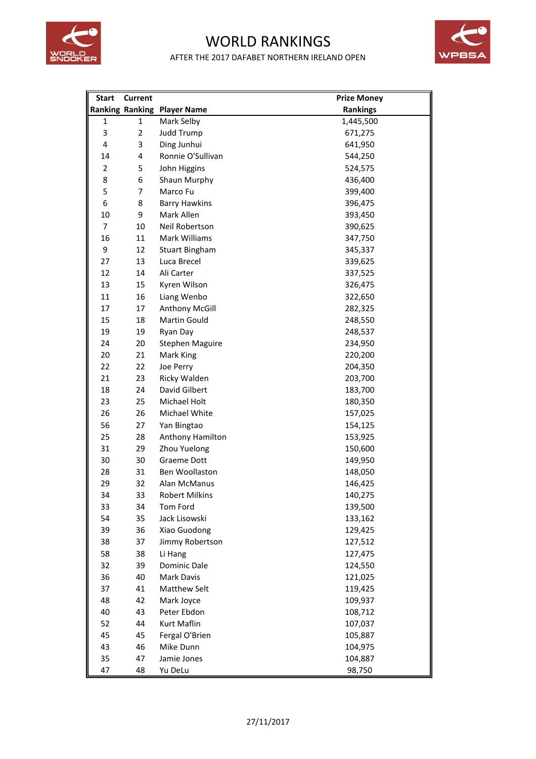

## WORLD RANKINGS



AFTER THE 2017 DAFABET NORTHERN IRELAND OPEN

| <b>Start</b>   | <b>Current</b> |                                    | <b>Prize Money</b> |
|----------------|----------------|------------------------------------|--------------------|
|                |                | <b>Ranking Ranking Player Name</b> | <b>Rankings</b>    |
| 1              | $\mathbf{1}$   | Mark Selby                         | 1,445,500          |
| 3              | $\overline{2}$ | Judd Trump                         | 671,275            |
| 4              | 3              | Ding Junhui                        | 641,950            |
| 14             | 4              | Ronnie O'Sullivan                  | 544,250            |
| $\overline{2}$ | 5              | John Higgins                       | 524,575            |
| 8              | 6              | Shaun Murphy                       | 436,400            |
| 5              | $\overline{7}$ | Marco Fu                           | 399,400            |
| 6              | 8              | <b>Barry Hawkins</b>               | 396,475            |
| 10             | 9              | Mark Allen                         | 393,450            |
| $\overline{7}$ | 10             | Neil Robertson                     | 390,625            |
| 16             | 11             | Mark Williams                      | 347,750            |
| 9              | 12             | <b>Stuart Bingham</b>              | 345,337            |
| 27             | 13             | Luca Brecel                        | 339,625            |
| 12             | 14             | Ali Carter                         | 337,525            |
| 13             | 15             | Kyren Wilson                       | 326,475            |
| 11             | 16             | Liang Wenbo                        | 322,650            |
| 17             | 17             | Anthony McGill                     | 282,325            |
| 15             | 18             | <b>Martin Gould</b>                | 248,550            |
| 19             | 19             | Ryan Day                           | 248,537            |
| 24             | 20             | <b>Stephen Maguire</b>             | 234,950            |
| 20             | 21             | Mark King                          | 220,200            |
| 22             | 22             | Joe Perry                          | 204,350            |
| 21             | 23             | Ricky Walden                       | 203,700            |
| 18             | 24             | David Gilbert                      | 183,700            |
| 23             | 25             | <b>Michael Holt</b>                | 180,350            |
| 26             | 26             | Michael White                      | 157,025            |
| 56             | 27             | Yan Bingtao                        | 154,125            |
| 25             | 28             | Anthony Hamilton                   | 153,925            |
| 31             | 29             | Zhou Yuelong                       | 150,600            |
| 30             | 30             | Graeme Dott                        | 149,950            |
| 28             | 31             | Ben Woollaston                     | 148,050            |
| 29             | 32             | Alan McManus                       | 146,425            |
| 34             | 33             | <b>Robert Milkins</b>              | 140,275            |
| 33             | 34             | Tom Ford                           | 139,500            |
| 54             | 35             | Jack Lisowski                      | 133,162            |
| 39             | 36             | Xiao Guodong                       | 129,425            |
| 38             | 37             | Jimmy Robertson                    | 127,512            |
| 58             | 38             | Li Hang                            | 127,475            |
| 32             | 39             | Dominic Dale                       | 124,550            |
| 36             | 40             | Mark Davis                         | 121,025            |
| 37             | 41             | <b>Matthew Selt</b>                | 119,425            |
| 48             | 42             | Mark Joyce                         | 109,937            |
| 40             | 43             | Peter Ebdon                        | 108,712            |
| 52             | 44             | Kurt Maflin                        | 107,037            |
| 45             | 45             | Fergal O'Brien                     | 105,887            |
| 43             | 46             | Mike Dunn                          | 104,975            |
| 35             | 47             | Jamie Jones                        | 104,887            |
| 47             | 48             | Yu DeLu                            | 98,750             |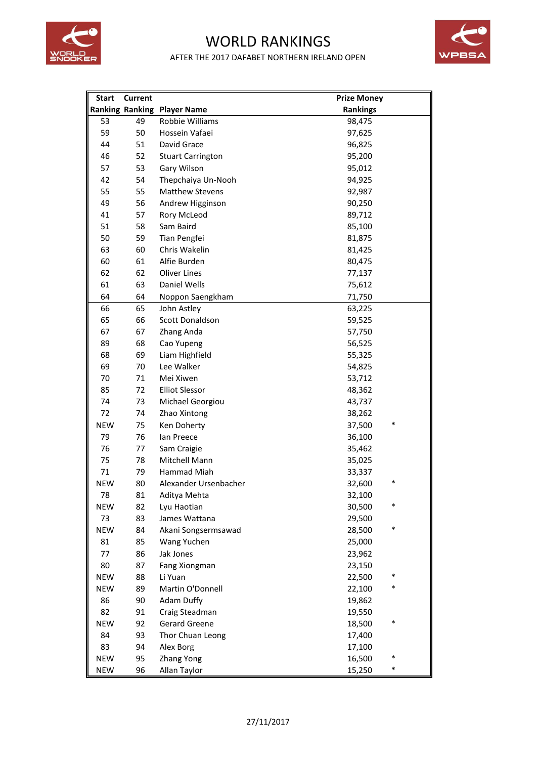

## WORLD RANKINGS AFTER THE 2017 DAFABET NORTHERN IRELAND OPEN



| <b>Start</b> | <b>Current</b> |                                    | <b>Prize Money</b> |
|--------------|----------------|------------------------------------|--------------------|
|              |                | <b>Ranking Ranking Player Name</b> | <b>Rankings</b>    |
| 53           | 49             | Robbie Williams                    | 98,475             |
| 59           | 50             | Hossein Vafaei                     | 97,625             |
| 44           | 51             | David Grace                        | 96,825             |
| 46           | 52             | <b>Stuart Carrington</b>           | 95,200             |
| 57           | 53             | Gary Wilson                        | 95,012             |
| 42           | 54             | Thepchaiya Un-Nooh                 | 94,925             |
| 55           | 55             | <b>Matthew Stevens</b>             | 92,987             |
| 49           | 56             | Andrew Higginson                   | 90,250             |
| 41           | 57             | Rory McLeod                        | 89,712             |
| 51           | 58             | Sam Baird                          | 85,100             |
| 50           | 59             | Tian Pengfei                       | 81,875             |
| 63           | 60             | Chris Wakelin                      | 81,425             |
| 60           | 61             | Alfie Burden                       | 80,475             |
| 62           | 62             | <b>Oliver Lines</b>                | 77,137             |
| 61           | 63             | Daniel Wells                       | 75,612             |
| 64           | 64             | Noppon Saengkham                   | 71,750             |
| 66           | 65             | John Astley                        | 63,225             |
| 65           | 66             | Scott Donaldson                    | 59,525             |
| 67           | 67             | Zhang Anda                         | 57,750             |
| 89           | 68             | Cao Yupeng                         | 56,525             |
| 68           | 69             | Liam Highfield                     | 55,325             |
| 69           | 70             | Lee Walker                         | 54,825             |
| 70           | 71             | Mei Xiwen                          | 53,712             |
| 85           | 72             | <b>Elliot Slessor</b>              | 48,362             |
| 74           | 73             | Michael Georgiou                   | 43,737             |
| 72           | 74             | Zhao Xintong                       | 38,262             |
| <b>NEW</b>   | 75             | Ken Doherty                        | *<br>37,500        |
| 79           | 76             | lan Preece                         | 36,100             |
| 76           | 77             | Sam Craigie                        | 35,462             |
| 75           | 78             | Mitchell Mann                      | 35,025             |
| 71           | 79             | Hammad Miah                        | 33,337             |
| <b>NEW</b>   | 80             | Alexander Ursenbacher              | $\ast$<br>32,600   |
| 78           | 81             | Aditya Mehta                       | 32,100             |
| <b>NEW</b>   | 82             | Lyu Haotian                        | *<br>30,500        |
| 73           | 83             | James Wattana                      | 29,500             |
| <b>NEW</b>   | 84             | Akani Songsermsawad                | *<br>28,500        |
| 81           | 85             | Wang Yuchen                        | 25,000             |
| 77           | 86             | Jak Jones                          | 23,962             |
| 80           | 87             | Fang Xiongman                      | 23,150             |
| <b>NEW</b>   | 88             | Li Yuan                            | *<br>22,500        |
| <b>NEW</b>   | 89             | Martin O'Donnell                   | ∗<br>22,100        |
| 86           | 90             | Adam Duffy                         | 19,862             |
| 82           | 91             | Craig Steadman                     | 19,550             |
| <b>NEW</b>   | 92             | <b>Gerard Greene</b>               | *<br>18,500        |
| 84           | 93             | Thor Chuan Leong                   | 17,400             |
| 83           | 94             | Alex Borg                          | 17,100             |
| <b>NEW</b>   | 95             | Zhang Yong                         | *<br>16,500        |
| <b>NEW</b>   | 96             | Allan Taylor                       | $\ast$<br>15,250   |